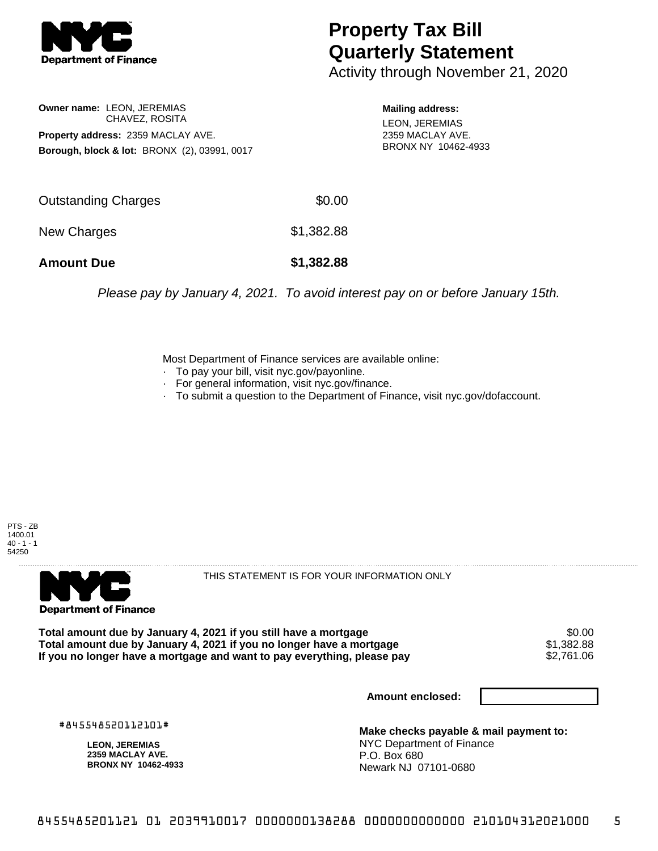

## **Property Tax Bill Quarterly Statement**

Activity through November 21, 2020

**Owner name:** LEON, JEREMIAS CHAVEZ, ROSITA **Property address:** 2359 MACLAY AVE. **Borough, block & lot:** BRONX (2), 03991, 0017

**Mailing address:**

LEON, JEREMIAS 2359 MACLAY AVE. BRONX NY 10462-4933

| <b>Amount Due</b>   | \$1,382.88 |  |
|---------------------|------------|--|
| New Charges         | \$1,382.88 |  |
| Outstanding Charges | \$0.00     |  |

Please pay by January 4, 2021. To avoid interest pay on or before January 15th.

Most Department of Finance services are available online:

- · To pay your bill, visit nyc.gov/payonline.
- For general information, visit nyc.gov/finance.
- · To submit a question to the Department of Finance, visit nyc.gov/dofaccount.





THIS STATEMENT IS FOR YOUR INFORMATION ONLY

Total amount due by January 4, 2021 if you still have a mortgage \$0.00<br>Total amount due by January 4, 2021 if you no longer have a mortgage \$1.382.88 **Total amount due by January 4, 2021 if you no longer have a mortgage**  $$1,382.88$ **<br>If you no longer have a mortgage and want to pay everything, please pay <b>show that the summan set of the s**2,761.06 If you no longer have a mortgage and want to pay everything, please pay

**Amount enclosed:**

#845548520112101#

**LEON, JEREMIAS 2359 MACLAY AVE. BRONX NY 10462-4933**

**Make checks payable & mail payment to:** NYC Department of Finance P.O. Box 680 Newark NJ 07101-0680